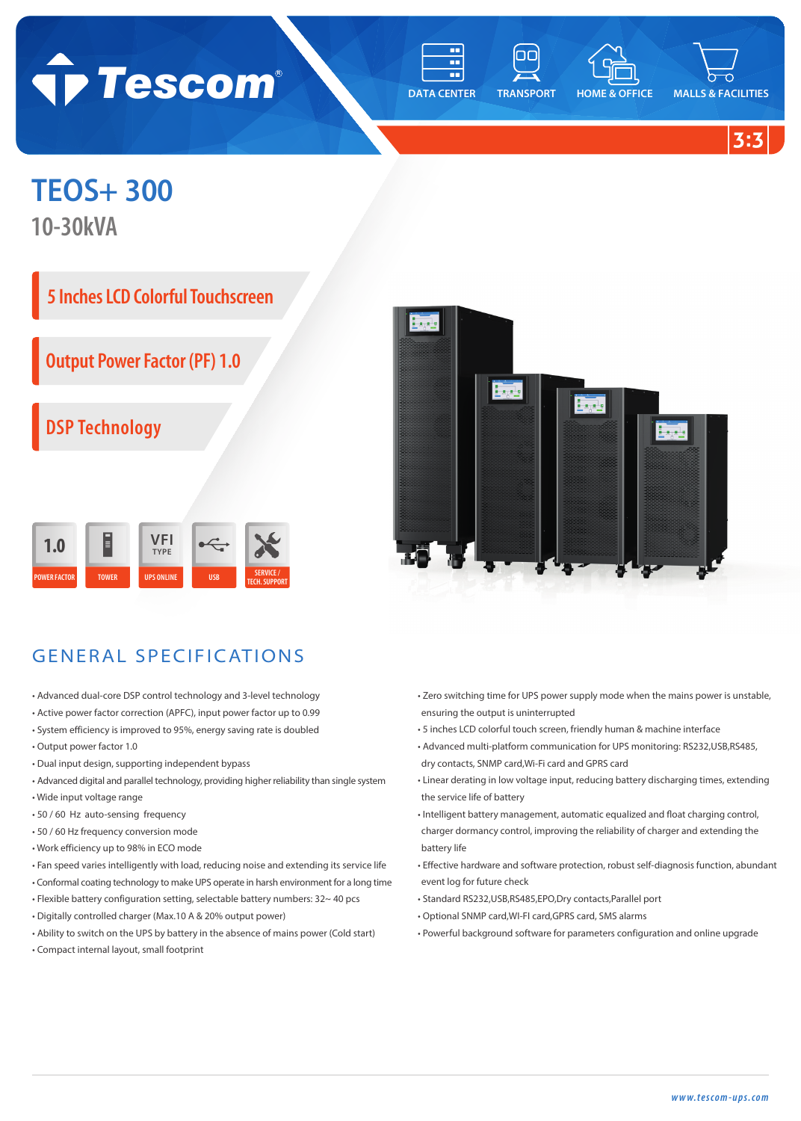

m.

**DATA CENTER TRANSPORT HOME & OFFICE MALLS & FACILITIES**

oα

**3:3**

## **TEOS+ 300**

**10-30kVA**



**Output Power Factor (PF) 1.0**

**DSP Technology**

|                     | E            | √FI<br><b>TYPE</b> |            |                                          |
|---------------------|--------------|--------------------|------------|------------------------------------------|
| <b>POWER FACTOR</b> | <b>TOWER</b> | <b>UPS ONLINE</b>  | <b>USB</b> | <b>SERVICE /</b><br><b>TECH. SUPPORT</b> |



## GENERAL SPECIFICATIONS

- Advanced dual-core DSP control technology and 3-level technology
- Active power factor correction (APFC), input power factor up to 0.99
- System efficiency is improved to 95%, energy saving rate is doubled
- Output power factor 1.0
- Dual input design, supporting independent bypass
- Advanced digital and parallel technology, providing higher reliability than single system • Wide input voltage range
- 50 / 60 Hz auto-sensing frequency
- 50 / 60 Hz frequency conversion mode
- Work efficiency up to 98% in ECO mode
- Fan speed varies intelligently with load, reducing noise and extending its service life
- Conformal coating technology to make UPS operate in harsh environment for a long time
- Flexible battery configuration setting, selectable battery numbers: 32~ 40 pcs
- Digitally controlled charger (Max.10 A & 20% output power)
- Ability to switch on the UPS by battery in the absence of mains power (Cold start)
- Compact internal layout, small footprint
- Zero switching time for UPS power supply mode when the mains power is unstable, ensuring the output is uninterrupted
- 5 inches LCD colorful touch screen, friendly human & machine interface
- Advanced multi-platform communication for UPS monitoring: RS232,USB,RS485, dry contacts, SNMP card,Wi-Fi card and GPRS card
- Linear derating in low voltage input, reducing battery discharging times, extending the service life of battery
- Intelligent battery management, automatic equalized and float charging control, charger dormancy control, improving the reliability of charger and extending the battery life
- Effective hardware and software protection, robust self-diagnosis function, abundant event log for future check
- Standard RS232,USB,RS485,EPO,Dry contacts,Parallel port
- Optional SNMP card,WI-FI card,GPRS card, SMS alarms
- Powerful background software for parameters configuration and online upgrade